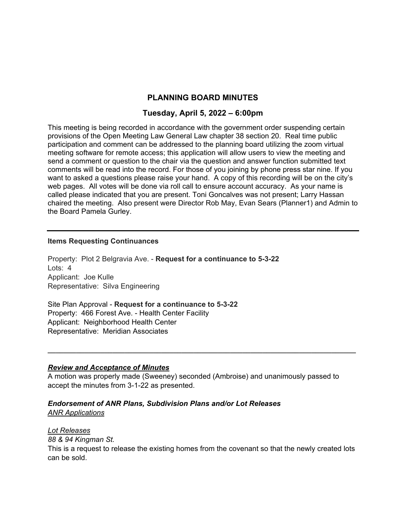# **PLANNING BOARD MINUTES**

# **Tuesday, April 5, 2022 – 6:00pm**

This meeting is being recorded in accordance with the government order suspending certain provisions of the Open Meeting Law General Law chapter 38 section 20. Real time public participation and comment can be addressed to the planning board utilizing the zoom virtual meeting software for remote access; this application will allow users to view the meeting and send a comment or question to the chair via the question and answer function submitted text comments will be read into the record. For those of you joining by phone press star nine. If you want to asked a questions please raise your hand. A copy of this recording will be on the city's web pages. All votes will be done via roll call to ensure account accuracy. As your name is called please indicated that you are present. Toni Goncalves was not present; Larry Hassan chaired the meeting. Also present were Director Rob May, Evan Sears (Planner1) and Admin to the Board Pamela Gurley.

### **Items Requesting Continuances**

Property: Plot 2 Belgravia Ave. - **Request for a continuance to 5-3-22**  Lots: 4 Applicant: Joe Kulle Representative: Silva Engineering

Site Plan Approval - **Request for a continuance to 5-3-22**  Property: 466 Forest Ave. - Health Center Facility Applicant: Neighborhood Health Center Representative: Meridian Associates

### *Review and Acceptance of Minutes*

A motion was properly made (Sweeney) seconded (Ambroise) and unanimously passed to accept the minutes from 3-1-22 as presented.

**\_\_\_\_\_\_\_\_\_\_\_\_\_\_\_\_\_\_\_\_\_\_\_\_\_\_\_\_\_\_\_\_\_\_\_\_\_\_\_\_\_\_\_\_\_\_\_\_\_\_\_\_\_\_\_\_\_\_\_\_\_\_\_\_\_\_\_\_\_\_\_\_\_\_\_\_** 

# *Endorsement of ANR Plans, Subdivision Plans and/or Lot Releases*

*ANR Applications* 

### *Lot Releases*

*88 & 94 Kingman St.* 

This is a request to release the existing homes from the covenant so that the newly created lots can be sold.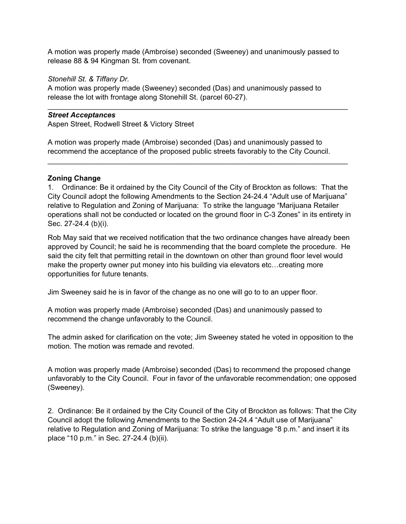A motion was properly made (Ambroise) seconded (Sweeney) and unanimously passed to release 88 & 94 Kingman St. from covenant.

 $\mathcal{L}_\text{max}$  and  $\mathcal{L}_\text{max}$  and  $\mathcal{L}_\text{max}$  and  $\mathcal{L}_\text{max}$  and  $\mathcal{L}_\text{max}$  and  $\mathcal{L}_\text{max}$ 

## *Stonehill St. & Tiffany Dr.*

A motion was properly made (Sweeney) seconded (Das) and unanimously passed to release the lot with frontage along Stonehill St. (parcel 60-27).

## *Street Acceptances*

Aspen Street, Rodwell Street & Victory Street

A motion was properly made (Ambroise) seconded (Das) and unanimously passed to recommend the acceptance of the proposed public streets favorably to the City Council.

## **Zoning Change**

1. Ordinance: Be it ordained by the City Council of the City of Brockton as follows: That the City Council adopt the following Amendments to the Section 24-24.4 "Adult use of Marijuana" relative to Regulation and Zoning of Marijuana: To strike the language "Marijuana Retailer operations shall not be conducted or located on the ground floor in C-3 Zones" in its entirety in Sec. 27-24.4 (b)(i).

 $\mathcal{L}_\text{max}$  and  $\mathcal{L}_\text{max}$  and  $\mathcal{L}_\text{max}$  and  $\mathcal{L}_\text{max}$  and  $\mathcal{L}_\text{max}$  and  $\mathcal{L}_\text{max}$ 

Rob May said that we received notification that the two ordinance changes have already been approved by Council; he said he is recommending that the board complete the procedure. He said the city felt that permitting retail in the downtown on other than ground floor level would make the property owner put money into his building via elevators etc…creating more opportunities for future tenants.

Jim Sweeney said he is in favor of the change as no one will go to to an upper floor.

A motion was properly made (Ambroise) seconded (Das) and unanimously passed to recommend the change unfavorably to the Council.

The admin asked for clarification on the vote; Jim Sweeney stated he voted in opposition to the motion. The motion was remade and revoted.

A motion was properly made (Ambroise) seconded (Das) to recommend the proposed change unfavorably to the City Council. Four in favor of the unfavorable recommendation; one opposed (Sweeney).

2. Ordinance: Be it ordained by the City Council of the City of Brockton as follows: That the City Council adopt the following Amendments to the Section 24-24.4 "Adult use of Marijuana" relative to Regulation and Zoning of Marijuana: To strike the language "8 p.m." and insert it its place "10 p.m." in Sec. 27-24.4 (b)(ii).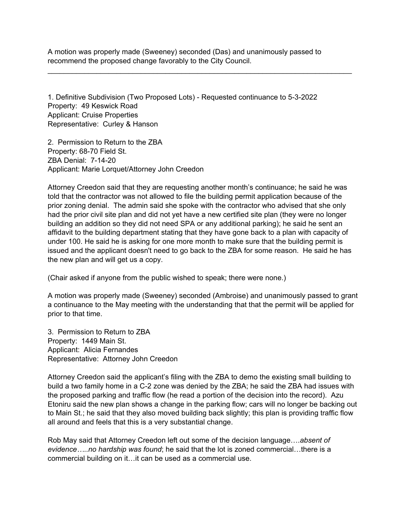A motion was properly made (Sweeney) seconded (Das) and unanimously passed to recommend the proposed change favorably to the City Council.

 $\mathcal{L}_\text{max}$  and  $\mathcal{L}_\text{max}$  and  $\mathcal{L}_\text{max}$  and  $\mathcal{L}_\text{max}$  and  $\mathcal{L}_\text{max}$  and  $\mathcal{L}_\text{max}$ 

1. Definitive Subdivision (Two Proposed Lots) - Requested continuance to 5-3-2022 Property: 49 Keswick Road Applicant: Cruise Properties Representative: Curley & Hanson

2. Permission to Return to the ZBA Property: 68-70 Field St. ZBA Denial: 7-14-20 Applicant: Marie Lorquet/Attorney John Creedon

Attorney Creedon said that they are requesting another month's continuance; he said he was told that the contractor was not allowed to file the building permit application because of the prior zoning denial. The admin said she spoke with the contractor who advised that she only had the prior civil site plan and did not yet have a new certified site plan (they were no longer building an addition so they did not need SPA or any additional parking); he said he sent an affidavit to the building department stating that they have gone back to a plan with capacity of under 100. He said he is asking for one more month to make sure that the building permit is issued and the applicant doesn't need to go back to the ZBA for some reason. He said he has the new plan and will get us a copy.

(Chair asked if anyone from the public wished to speak; there were none.)

A motion was properly made (Sweeney) seconded (Ambroise) and unanimously passed to grant a continuance to the May meeting with the understanding that that the permit will be applied for prior to that time.

3. Permission to Return to ZBA Property: 1449 Main St. Applicant: Alicia Fernandes Representative: Attorney John Creedon

Attorney Creedon said the applicant's filing with the ZBA to demo the existing small building to build a two family home in a C-2 zone was denied by the ZBA; he said the ZBA had issues with the proposed parking and traffic flow (he read a portion of the decision into the record). Azu Etoniru said the new plan shows a change in the parking flow; cars will no longer be backing out to Main St.; he said that they also moved building back slightly; this plan is providing traffic flow all around and feels that this is a very substantial change.

Rob May said that Attorney Creedon left out some of the decision language….*absent of evidence…..no hardship was found*; he said that the lot is zoned commercial…there is a commercial building on it…it can be used as a commercial use.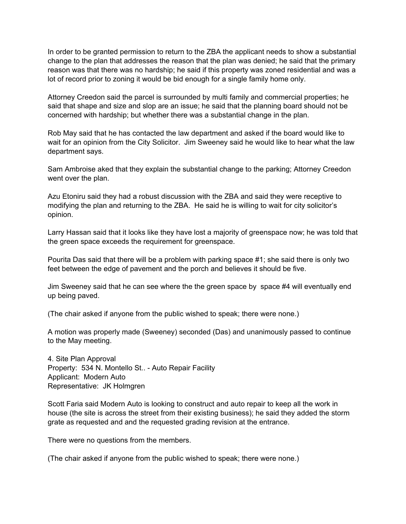In order to be granted permission to return to the ZBA the applicant needs to show a substantial change to the plan that addresses the reason that the plan was denied; he said that the primary reason was that there was no hardship; he said if this property was zoned residential and was a lot of record prior to zoning it would be bid enough for a single family home only.

Attorney Creedon said the parcel is surrounded by multi family and commercial properties; he said that shape and size and slop are an issue; he said that the planning board should not be concerned with hardship; but whether there was a substantial change in the plan.

Rob May said that he has contacted the law department and asked if the board would like to wait for an opinion from the City Solicitor. Jim Sweeney said he would like to hear what the law department says.

Sam Ambroise aked that they explain the substantial change to the parking; Attorney Creedon went over the plan.

Azu Etoniru said they had a robust discussion with the ZBA and said they were receptive to modifying the plan and returning to the ZBA. He said he is willing to wait for city solicitor's opinion.

Larry Hassan said that it looks like they have lost a majority of greenspace now; he was told that the green space exceeds the requirement for greenspace.

Pourita Das said that there will be a problem with parking space #1; she said there is only two feet between the edge of pavement and the porch and believes it should be five.

Jim Sweeney said that he can see where the the green space by space #4 will eventually end up being paved.

(The chair asked if anyone from the public wished to speak; there were none.)

A motion was properly made (Sweeney) seconded (Das) and unanimously passed to continue to the May meeting.

4. Site Plan Approval Property: 534 N. Montello St.. - Auto Repair Facility Applicant: Modern Auto Representative: JK Holmgren

Scott Faria said Modern Auto is looking to construct and auto repair to keep all the work in house (the site is across the street from their existing business); he said they added the storm grate as requested and and the requested grading revision at the entrance.

There were no questions from the members.

(The chair asked if anyone from the public wished to speak; there were none.)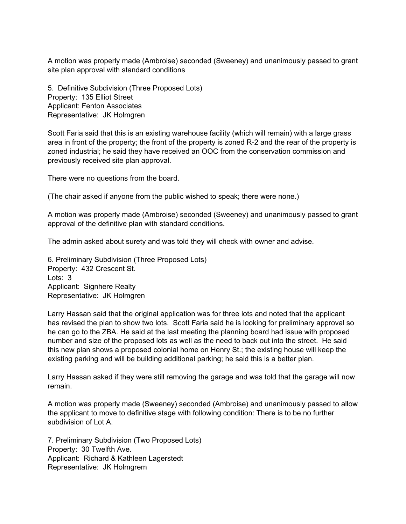A motion was properly made (Ambroise) seconded (Sweeney) and unanimously passed to grant site plan approval with standard conditions

5. Definitive Subdivision (Three Proposed Lots) Property: 135 Elliot Street Applicant: Fenton Associates Representative: JK Holmgren

Scott Faria said that this is an existing warehouse facility (which will remain) with a large grass area in front of the property; the front of the property is zoned R-2 and the rear of the property is zoned industrial; he said they have received an OOC from the conservation commission and previously received site plan approval.

There were no questions from the board.

(The chair asked if anyone from the public wished to speak; there were none.)

A motion was properly made (Ambroise) seconded (Sweeney) and unanimously passed to grant approval of the definitive plan with standard conditions.

The admin asked about surety and was told they will check with owner and advise.

6. Preliminary Subdivision (Three Proposed Lots) Property: 432 Crescent St. Lots: 3 Applicant: Signhere Realty Representative: JK Holmgren

Larry Hassan said that the original application was for three lots and noted that the applicant has revised the plan to show two lots. Scott Faria said he is looking for preliminary approval so he can go to the ZBA. He said at the last meeting the planning board had issue with proposed number and size of the proposed lots as well as the need to back out into the street. He said this new plan shows a proposed colonial home on Henry St.; the existing house will keep the existing parking and will be building additional parking; he said this is a better plan.

Larry Hassan asked if they were still removing the garage and was told that the garage will now remain.

A motion was properly made (Sweeney) seconded (Ambroise) and unanimously passed to allow the applicant to move to definitive stage with following condition: There is to be no further subdivision of Lot A.

7. Preliminary Subdivision (Two Proposed Lots) Property: 30 Twelfth Ave. Applicant: Richard & Kathleen Lagerstedt Representative: JK Holmgrem